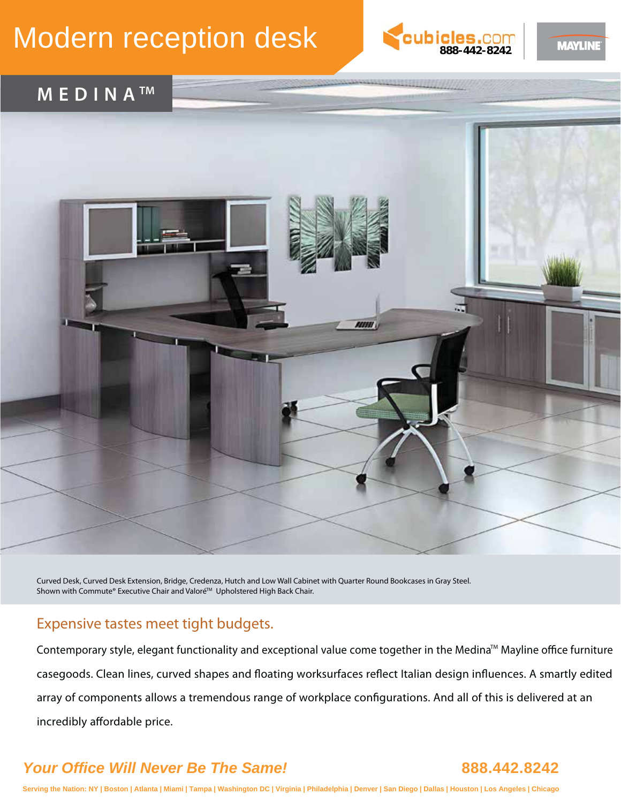# Modern reception desk **888-442-8242 [888](www.cubicles.com) [442](www.cubicles.com) [8242](www.cubicles.com)**



## **MAYLINE**

## **MEDINA TM**



Curved Desk, Curved Desk Extension, Bridge, Credenza, Hutch and Low Wall Cabinet with Quarter Round Bookcases in Gray Steel. Shown with Commute® Executive Chair and Valoré™ Upholstered High Back Chair.

### Expensive tastes meet tight budgets.

Contemporary style, elegant functionality and exceptional value come together in the Medina<sup>™</sup> Mayline office furniture casegoods. Clean lines, curved shapes and floating worksurfaces reflect Italian design influences. A smartly edited array of components allows a tremendous range of workplace configurations. And all of this is delivered at an incredibly affordable price.

## *Your Office Will Never Be The Same!* **888.442.8242**

**Serving the Nation: NY | Boston | Atlanta | Miami | Tampa | Washington DC | Virginia | Philadelphia | Denver | San Diego | Dallas | Houston | Los Angeles | Chicago**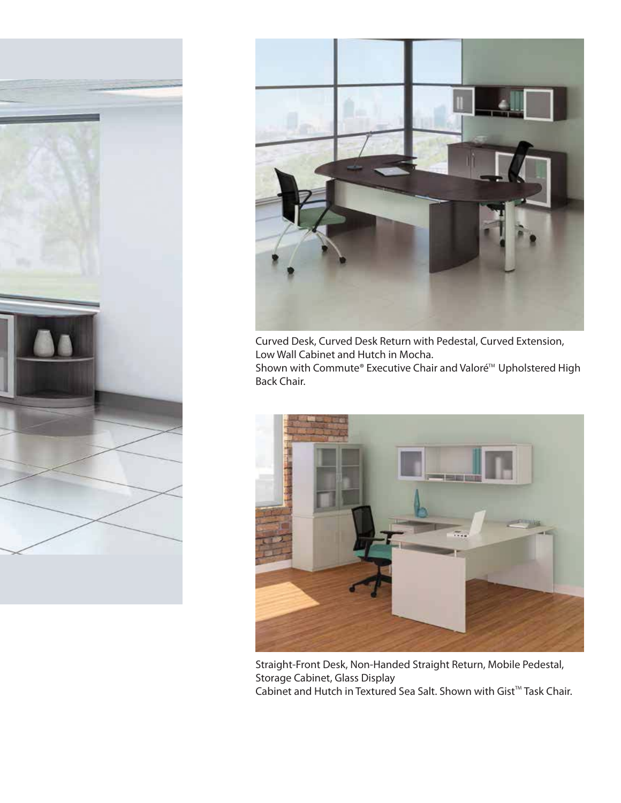



Curved Desk, Curved Desk Return with Pedestal, Curved Extension, Low Wall Cabinet and Hutch in Mocha.

Shown with Commute® Executive Chair and Valoré™ Upholstered High Back Chair.



Straight-Front Desk, Non-Handed Straight Return, Mobile Pedestal, Storage Cabinet, Glass Display Cabinet and Hutch in Textured Sea Salt. Shown with Gist™ Task Chair.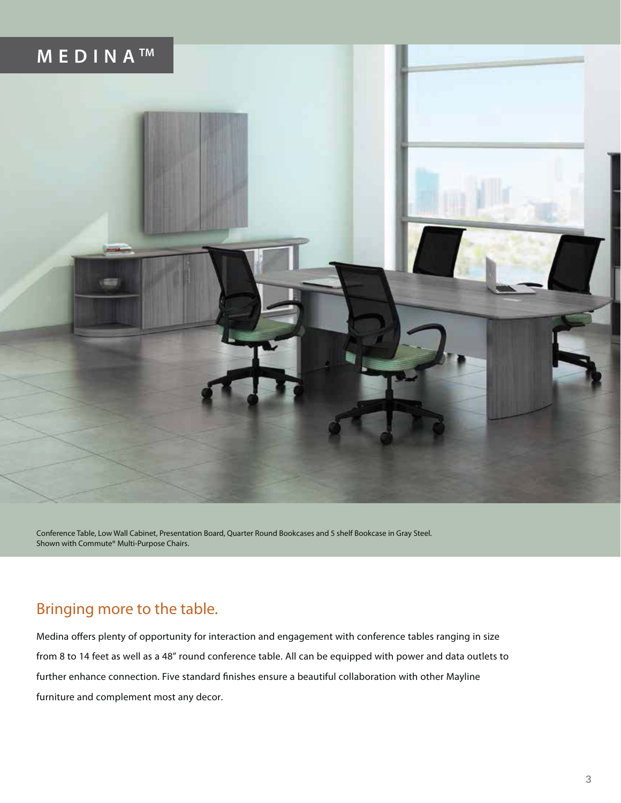![](_page_2_Picture_0.jpeg)

Conference Table, Low Wall Cabinet, Presentation Board, Quarter Round Bookcases and 5 shelf Bookcase in Gray Steel. Shown with Commute® Multi-Purpose Chairs.

## Bringing more to the table.

Medina offers plenty of opportunity for interaction and engagement with conference tables ranging in size from 8 to 14 feet as well as a 48" round conference table. All can be equipped with power and data outlets to further enhance connection. Five standard finishes ensure a beautiful collaboration with other Mayline furniture and complement most any decor.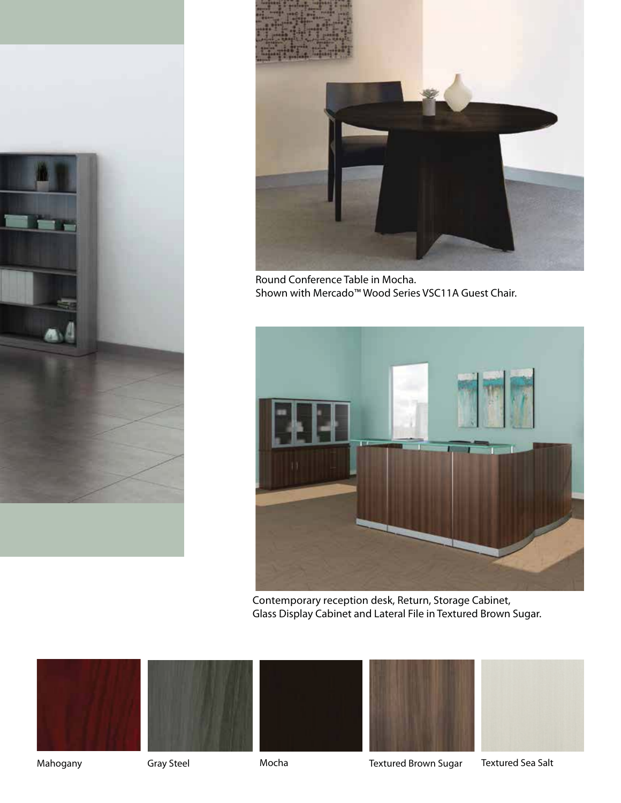![](_page_3_Picture_0.jpeg)

![](_page_3_Picture_1.jpeg)

Round Conference Table in Mocha. Shown with Mercado™ Wood Series VSC11A Guest Chair.

![](_page_3_Picture_3.jpeg)

Contemporary reception desk, Return, Storage Cabinet, Glass Display Cabinet and Lateral File in Textured Brown Sugar.

![](_page_3_Picture_5.jpeg)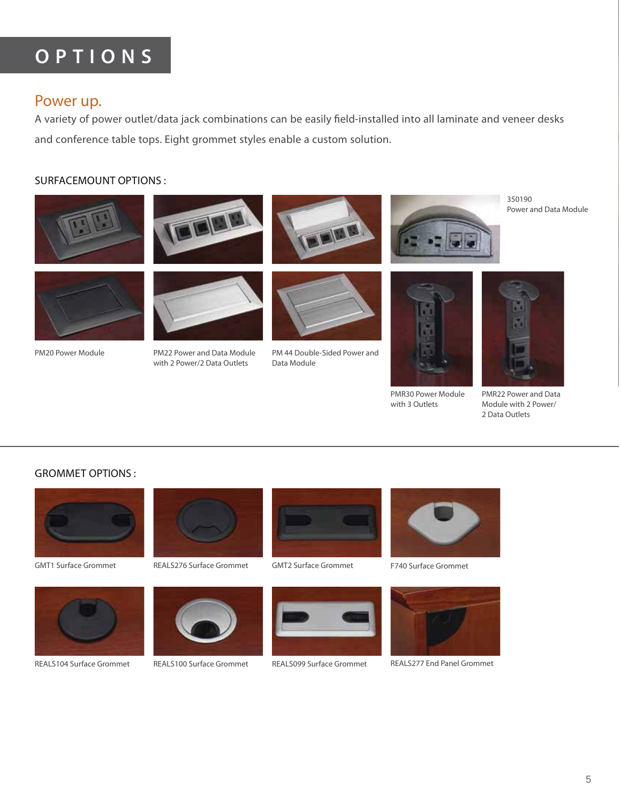## **OPTIONS**

## Power up.

A variety of power outlet/data jack combinations can be easily field-installed into all laminate and veneer desks and conference table tops. Eight grommet styles enable a custom solution.

### SURFACEMOUNT OPTIONS :

![](_page_4_Picture_4.jpeg)

![](_page_4_Picture_5.jpeg)

![](_page_4_Picture_6.jpeg)

![](_page_4_Picture_7.jpeg)

350190 Power and Data Module

![](_page_4_Picture_9.jpeg)

PM20 Power Module PM22 Power and Data Module with 2 Power/2 Data Outlets

![](_page_4_Picture_13.jpeg)

PM 44 Double-Sided Power and Data Module

![](_page_4_Picture_15.jpeg)

PMR30 Power Module with 3 Outlets

![](_page_4_Picture_17.jpeg)

PMR22 Power and Data Module with 2 Power/ 2 Data Outlets

### GROMMET OPTIONS :

![](_page_4_Picture_20.jpeg)

GMT1 Surface Grommet

![](_page_4_Picture_22.jpeg)

REALS276 Surface Grommet GMT2 Surface Grommet F740 Surface Grommet

![](_page_4_Picture_24.jpeg)

GMT2 Surface Grommet

![](_page_4_Picture_26.jpeg)

![](_page_4_Picture_28.jpeg)

REALS100 Surface Grommet

![](_page_4_Picture_31.jpeg)

![](_page_4_Picture_33.jpeg)

REALS099 Surface Grommet REALS277 End Panel Grommet